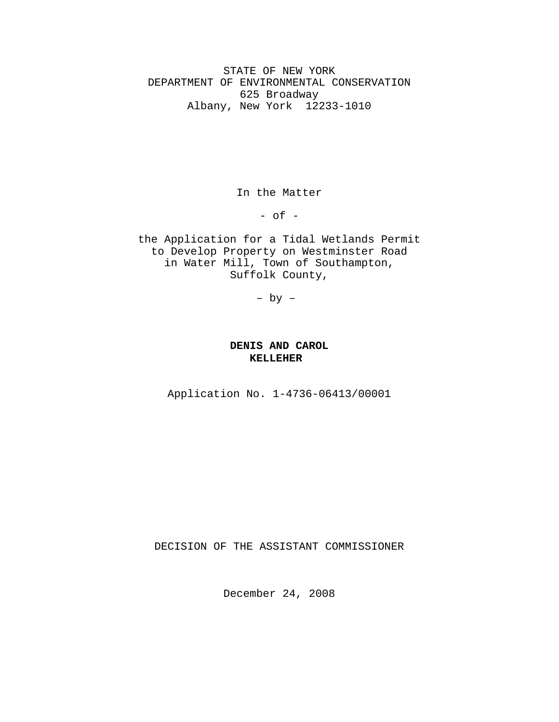STATE OF NEW YORK DEPARTMENT OF ENVIRONMENTAL CONSERVATION 625 Broadway Albany, New York 12233-1010

In the Matter

- of -

the Application for a Tidal Wetlands Permit to Develop Property on Westminster Road in Water Mill, Town of Southampton, Suffolk County,

– by –

## **DENIS AND CAROL KELLEHER**

Application No. 1-4736-06413/00001

DECISION OF THE ASSISTANT COMMISSIONER

December 24, 2008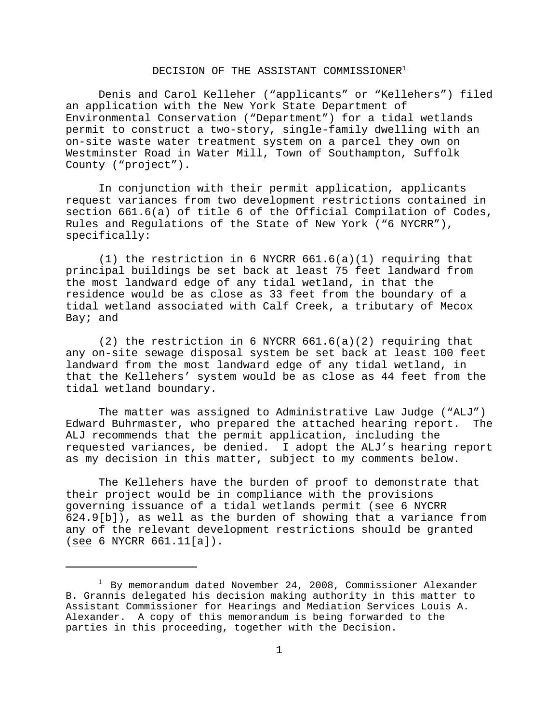### DECISION OF THE ASSISTANT COMMISSIONER<sup>1</sup>

Denis and Carol Kelleher ("applicants" or "Kellehers") filed an application with the New York State Department of Environmental Conservation ("Department") for a tidal wetlands permit to construct a two-story, single-family dwelling with an on-site waste water treatment system on a parcel they own on Westminster Road in Water Mill, Town of Southampton, Suffolk County ("project").

In conjunction with their permit application, applicants request variances from two development restrictions contained in section 661.6(a) of title 6 of the Official Compilation of Codes, Rules and Regulations of the State of New York ("6 NYCRR"), specifically:

(1) the restriction in 6 NYCRR 661.6(a)(1) requiring that principal buildings be set back at least 75 feet landward from the most landward edge of any tidal wetland, in that the residence would be as close as 33 feet from the boundary of a tidal wetland associated with Calf Creek, a tributary of Mecox Bay; and

(2) the restriction in 6 NYCRR 661.6(a)(2) requiring that any on-site sewage disposal system be set back at least 100 feet landward from the most landward edge of any tidal wetland, in that the Kellehers' system would be as close as 44 feet from the tidal wetland boundary.

The matter was assigned to Administrative Law Judge ("ALJ") Edward Buhrmaster, who prepared the attached hearing report. The ALJ recommends that the permit application, including the requested variances, be denied. I adopt the ALJ's hearing report as my decision in this matter, subject to my comments below.

The Kellehers have the burden of proof to demonstrate that their project would be in compliance with the provisions governing issuance of a tidal wetlands permit (see 6 NYCRR 624.9[b]), as well as the burden of showing that a variance from any of the relevant development restrictions should be granted (see 6 NYCRR 661.11[a]).

<sup>&</sup>lt;sup>1</sup> By memorandum dated November 24, 2008, Commissioner Alexander B. Grannis delegated his decision making authority in this matter to Assistant Commissioner for Hearings and Mediation Services Louis A. Alexander. A copy of this memorandum is being forwarded to the parties in this proceeding, together with the Decision.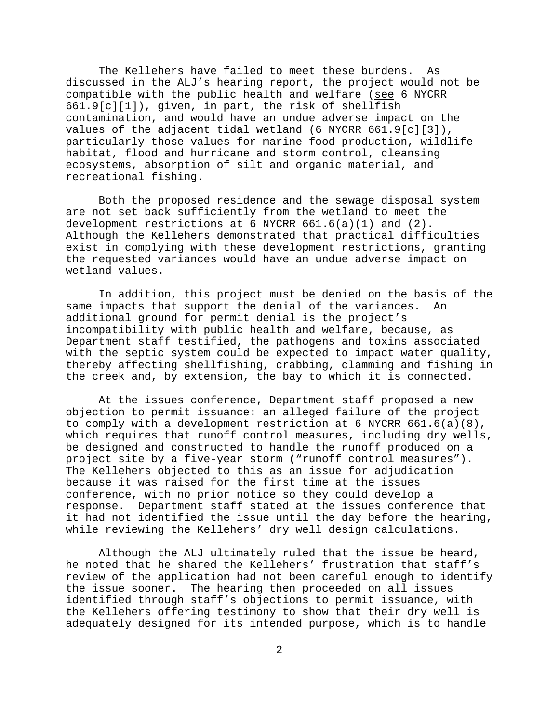The Kellehers have failed to meet these burdens. As discussed in the ALJ's hearing report, the project would not be compatible with the public health and welfare (see 6 NYCRR 661.9[c][1]), given, in part, the risk of shellfish contamination, and would have an undue adverse impact on the values of the adjacent tidal wetland (6 NYCRR 661.9[c][3]), particularly those values for marine food production, wildlife habitat, flood and hurricane and storm control, cleansing ecosystems, absorption of silt and organic material, and recreational fishing.

Both the proposed residence and the sewage disposal system are not set back sufficiently from the wetland to meet the development restrictions at 6 NYCRR  $661.6(a)(1)$  and  $(2)$ . Although the Kellehers demonstrated that practical difficulties exist in complying with these development restrictions, granting the requested variances would have an undue adverse impact on wetland values.

In addition, this project must be denied on the basis of the same impacts that support the denial of the variances. An additional ground for permit denial is the project's incompatibility with public health and welfare, because, as Department staff testified, the pathogens and toxins associated with the septic system could be expected to impact water quality, thereby affecting shellfishing, crabbing, clamming and fishing in the creek and, by extension, the bay to which it is connected.

At the issues conference, Department staff proposed a new objection to permit issuance: an alleged failure of the project to comply with a development restriction at 6 NYCRR 661.6(a)(8), which requires that runoff control measures, including dry wells, be designed and constructed to handle the runoff produced on a project site by a five-year storm ("runoff control measures"). The Kellehers objected to this as an issue for adjudication because it was raised for the first time at the issues conference, with no prior notice so they could develop a response. Department staff stated at the issues conference that it had not identified the issue until the day before the hearing, while reviewing the Kellehers' dry well design calculations.

Although the ALJ ultimately ruled that the issue be heard, he noted that he shared the Kellehers' frustration that staff's review of the application had not been careful enough to identify the issue sooner. The hearing then proceeded on all issues identified through staff's objections to permit issuance, with the Kellehers offering testimony to show that their dry well is adequately designed for its intended purpose, which is to handle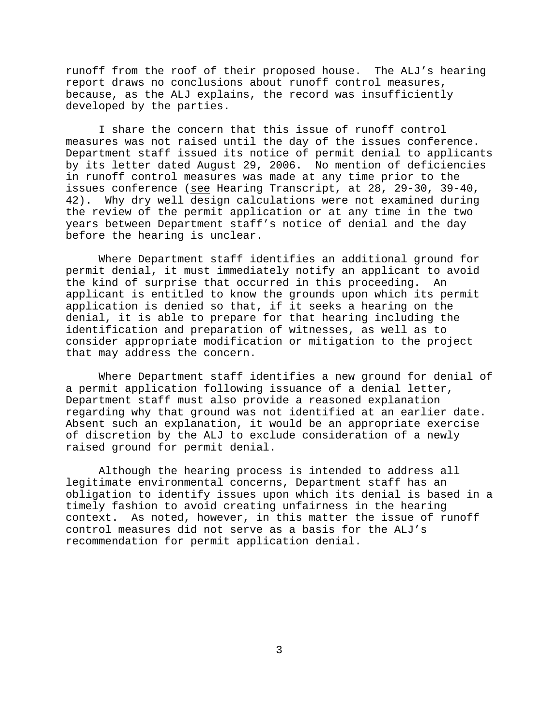runoff from the roof of their proposed house. The ALJ's hearing report draws no conclusions about runoff control measures, because, as the ALJ explains, the record was insufficiently developed by the parties.

I share the concern that this issue of runoff control measures was not raised until the day of the issues conference. Department staff issued its notice of permit denial to applicants by its letter dated August 29, 2006. No mention of deficiencies in runoff control measures was made at any time prior to the issues conference (see Hearing Transcript, at 28, 29-30, 39-40, 42). Why dry well design calculations were not examined during the review of the permit application or at any time in the two years between Department staff's notice of denial and the day before the hearing is unclear.

Where Department staff identifies an additional ground for permit denial, it must immediately notify an applicant to avoid the kind of surprise that occurred in this proceeding. An applicant is entitled to know the grounds upon which its permit application is denied so that, if it seeks a hearing on the denial, it is able to prepare for that hearing including the identification and preparation of witnesses, as well as to consider appropriate modification or mitigation to the project that may address the concern.

Where Department staff identifies a new ground for denial of a permit application following issuance of a denial letter, Department staff must also provide a reasoned explanation regarding why that ground was not identified at an earlier date. Absent such an explanation, it would be an appropriate exercise of discretion by the ALJ to exclude consideration of a newly raised ground for permit denial.

Although the hearing process is intended to address all legitimate environmental concerns, Department staff has an obligation to identify issues upon which its denial is based in a timely fashion to avoid creating unfairness in the hearing context. As noted, however, in this matter the issue of runoff control measures did not serve as a basis for the ALJ's recommendation for permit application denial.

3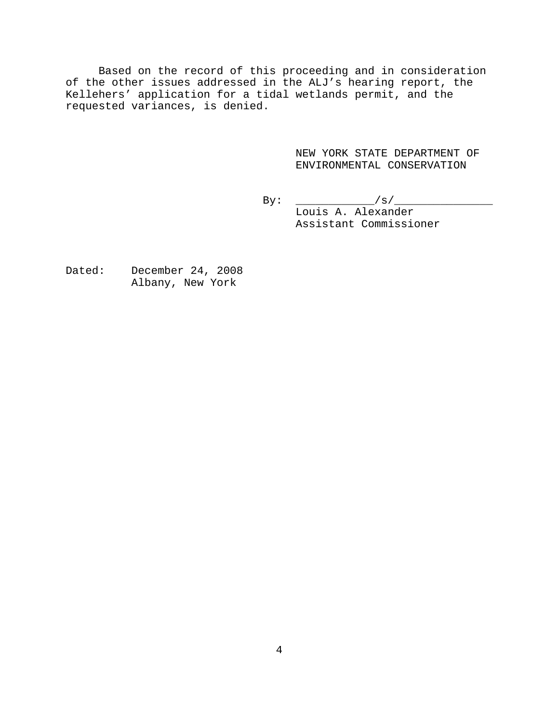Based on the record of this proceeding and in consideration of the other issues addressed in the ALJ's hearing report, the Kellehers' application for a tidal wetlands permit, and the requested variances, is denied.

> NEW YORK STATE DEPARTMENT OF ENVIRONMENTAL CONSERVATION

By: \_\_\_\_\_\_\_\_\_\_\_\_/s/\_\_\_\_\_\_\_\_\_\_\_\_\_\_\_ Louis A. Alexander Assistant Commissioner

Dated: December 24, 2008 Albany, New York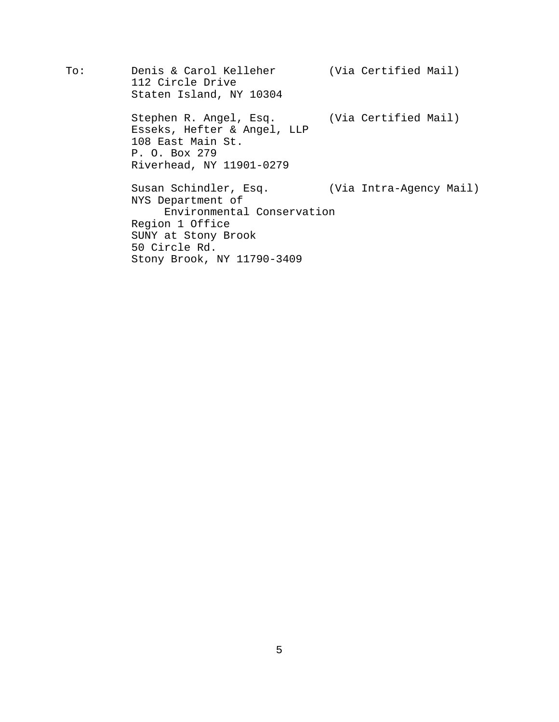To: Denis & Carol Kelleher (Via Certified Mail) 112 Circle Drive Staten Island, NY 10304 Stephen R. Angel, Esq. (Via Certified Mail) Esseks, Hefter & Angel, LLP 108 East Main St. P. O. Box 279 Riverhead, NY 11901-0279 Susan Schindler, Esq. (Via Intra-Agency Mail) NYS Department of Environmental Conservation Region 1 Office SUNY at Stony Brook 50 Circle Rd. Stony Brook, NY 11790-3409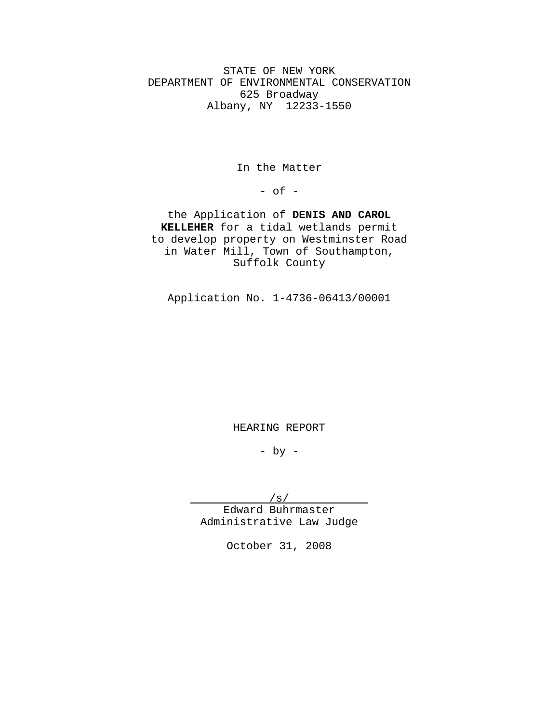STATE OF NEW YORK DEPARTMENT OF ENVIRONMENTAL CONSERVATION 625 Broadway Albany, NY 12233-1550

In the Matter

 $-$  of  $-$ 

the Application of **DENIS AND CAROL KELLEHER** for a tidal wetlands permit to develop property on Westminster Road in Water Mill, Town of Southampton, Suffolk County

Application No. 1-4736-06413/00001

HEARING REPORT

 $-$  by  $-$ 

/s/

Edward Buhrmaster Administrative Law Judge

October 31, 2008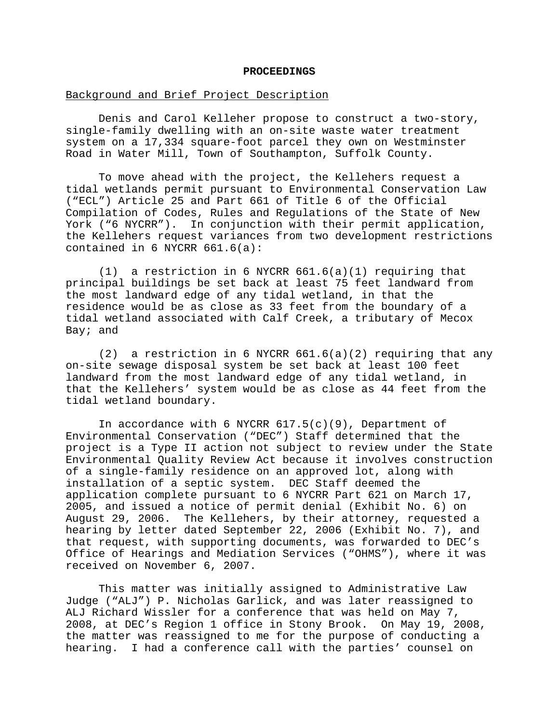#### **PROCEEDINGS**

## Background and Brief Project Description

Denis and Carol Kelleher propose to construct a two-story, single-family dwelling with an on-site waste water treatment system on a 17,334 square-foot parcel they own on Westminster Road in Water Mill, Town of Southampton, Suffolk County.

To move ahead with the project, the Kellehers request a tidal wetlands permit pursuant to Environmental Conservation Law ("ECL") Article 25 and Part 661 of Title 6 of the Official Compilation of Codes, Rules and Regulations of the State of New York ("6 NYCRR"). In conjunction with their permit application, the Kellehers request variances from two development restrictions contained in  $6$  NYCRR  $661.6(a)$ :

(1) a restriction in 6 NYCRR 661.6(a)(1) requiring that principal buildings be set back at least 75 feet landward from the most landward edge of any tidal wetland, in that the residence would be as close as 33 feet from the boundary of a tidal wetland associated with Calf Creek, a tributary of Mecox Bay; and

 $(2)$  a restriction in 6 NYCRR  $661.6(a)(2)$  requiring that any on-site sewage disposal system be set back at least 100 feet landward from the most landward edge of any tidal wetland, in that the Kellehers' system would be as close as 44 feet from the tidal wetland boundary.

In accordance with 6 NYCRR  $617.5(c)(9)$ , Department of Environmental Conservation ("DEC") Staff determined that the project is a Type II action not subject to review under the State Environmental Quality Review Act because it involves construction of a single-family residence on an approved lot, along with installation of a septic system. DEC Staff deemed the application complete pursuant to 6 NYCRR Part 621 on March 17, 2005, and issued a notice of permit denial (Exhibit No. 6) on August 29, 2006. The Kellehers, by their attorney, requested a hearing by letter dated September 22, 2006 (Exhibit No. 7), and that request, with supporting documents, was forwarded to DEC's Office of Hearings and Mediation Services ("OHMS"), where it was received on November 6, 2007.

This matter was initially assigned to Administrative Law Judge ("ALJ") P. Nicholas Garlick, and was later reassigned to ALJ Richard Wissler for a conference that was held on May 7, 2008, at DEC's Region 1 office in Stony Brook. On May 19, 2008, the matter was reassigned to me for the purpose of conducting a hearing. I had a conference call with the parties' counsel on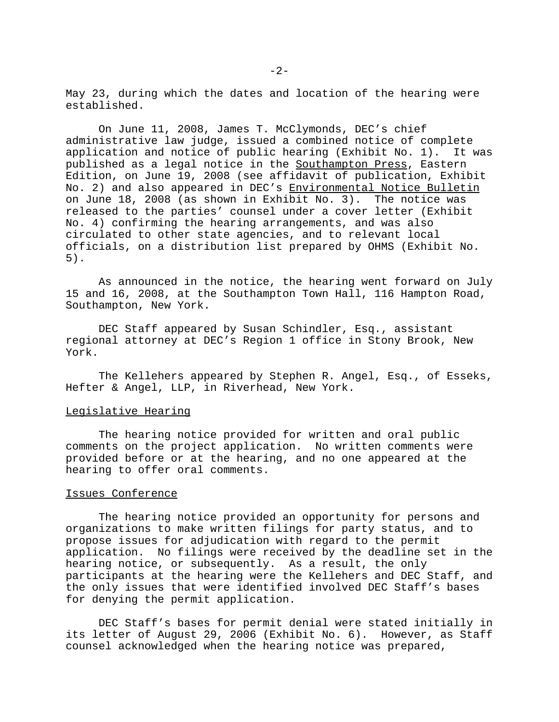May 23, during which the dates and location of the hearing were established.

On June 11, 2008, James T. McClymonds, DEC's chief administrative law judge, issued a combined notice of complete application and notice of public hearing (Exhibit No. 1). It was published as a legal notice in the Southampton Press, Eastern Edition, on June 19, 2008 (see affidavit of publication, Exhibit No. 2) and also appeared in DEC's Environmental Notice Bulletin on June 18, 2008 (as shown in Exhibit No. 3). The notice was released to the parties' counsel under a cover letter (Exhibit No. 4) confirming the hearing arrangements, and was also circulated to other state agencies, and to relevant local officials, on a distribution list prepared by OHMS (Exhibit No. 5).

As announced in the notice, the hearing went forward on July 15 and 16, 2008, at the Southampton Town Hall, 116 Hampton Road, Southampton, New York.

DEC Staff appeared by Susan Schindler, Esq., assistant regional attorney at DEC's Region 1 office in Stony Brook, New York.

The Kellehers appeared by Stephen R. Angel, Esq., of Esseks, Hefter & Angel, LLP, in Riverhead, New York.

## Legislative Hearing

The hearing notice provided for written and oral public comments on the project application. No written comments were provided before or at the hearing, and no one appeared at the hearing to offer oral comments.

## Issues Conference

The hearing notice provided an opportunity for persons and organizations to make written filings for party status, and to propose issues for adjudication with regard to the permit application. No filings were received by the deadline set in the hearing notice, or subsequently. As a result, the only participants at the hearing were the Kellehers and DEC Staff, and the only issues that were identified involved DEC Staff's bases for denying the permit application.

DEC Staff's bases for permit denial were stated initially in its letter of August 29, 2006 (Exhibit No. 6). However, as Staff counsel acknowledged when the hearing notice was prepared,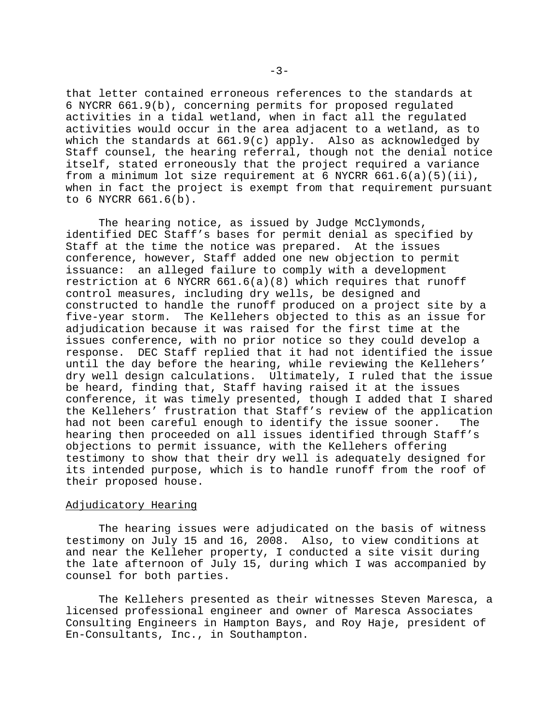that letter contained erroneous references to the standards at 6 NYCRR 661.9(b), concerning permits for proposed regulated activities in a tidal wetland, when in fact all the regulated activities would occur in the area adjacent to a wetland, as to which the standards at  $661.9(c)$  apply. Also as acknowledged by Staff counsel, the hearing referral, though not the denial notice itself, stated erroneously that the project required a variance from a minimum lot size requirement at 6 NYCRR  $661.6(a)(5)(ii)$ , when in fact the project is exempt from that requirement pursuant to 6 NYCRR 661.6(b).

The hearing notice, as issued by Judge McClymonds, identified DEC Staff's bases for permit denial as specified by Staff at the time the notice was prepared. At the issues conference, however, Staff added one new objection to permit issuance: an alleged failure to comply with a development restriction at 6 NYCRR  $661.6(a)(8)$  which requires that runoff control measures, including dry wells, be designed and constructed to handle the runoff produced on a project site by a five-year storm. The Kellehers objected to this as an issue for adjudication because it was raised for the first time at the issues conference, with no prior notice so they could develop a response. DEC Staff replied that it had not identified the issue until the day before the hearing, while reviewing the Kellehers' dry well design calculations. Ultimately, I ruled that the issue be heard, finding that, Staff having raised it at the issues conference, it was timely presented, though I added that I shared the Kellehers' frustration that Staff's review of the application had not been careful enough to identify the issue sooner. The hearing then proceeded on all issues identified through Staff's objections to permit issuance, with the Kellehers offering testimony to show that their dry well is adequately designed for its intended purpose, which is to handle runoff from the roof of their proposed house.

#### Adjudicatory Hearing

The hearing issues were adjudicated on the basis of witness testimony on July 15 and 16, 2008. Also, to view conditions at and near the Kelleher property, I conducted a site visit during the late afternoon of July 15, during which I was accompanied by counsel for both parties.

The Kellehers presented as their witnesses Steven Maresca, a licensed professional engineer and owner of Maresca Associates Consulting Engineers in Hampton Bays, and Roy Haje, president of En-Consultants, Inc., in Southampton.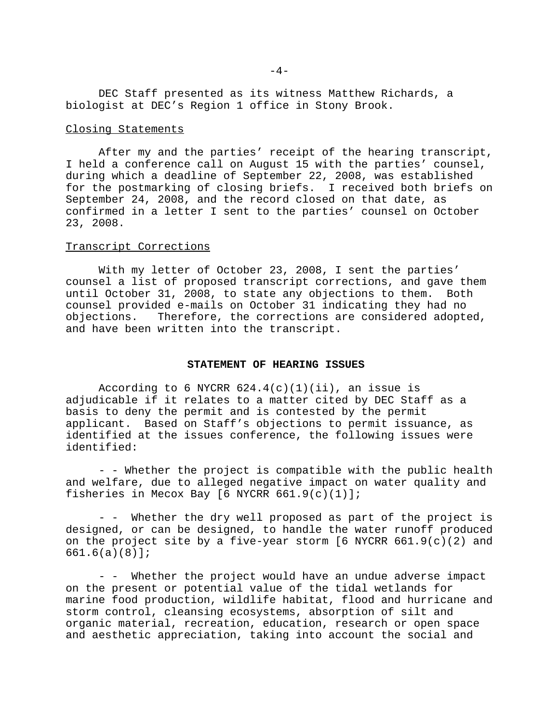DEC Staff presented as its witness Matthew Richards, a biologist at DEC's Region 1 office in Stony Brook.

#### Closing Statements

After my and the parties' receipt of the hearing transcript, I held a conference call on August 15 with the parties' counsel, during which a deadline of September 22, 2008, was established for the postmarking of closing briefs. I received both briefs on September 24, 2008, and the record closed on that date, as confirmed in a letter I sent to the parties' counsel on October 23, 2008.

## Transcript Corrections

With my letter of October 23, 2008, I sent the parties' counsel a list of proposed transcript corrections, and gave them until October 31, 2008, to state any objections to them. Both counsel provided e-mails on October 31 indicating they had no objections. Therefore, the corrections are considered adopted, and have been written into the transcript.

#### **STATEMENT OF HEARING ISSUES**

According to 6 NYCRR  $624.4(c)(1)(ii)$ , an issue is adjudicable if it relates to a matter cited by DEC Staff as a basis to deny the permit and is contested by the permit applicant. Based on Staff's objections to permit issuance, as identified at the issues conference, the following issues were identified:

- - Whether the project is compatible with the public health and welfare, due to alleged negative impact on water quality and fisheries in Mecox Bay [6 NYCRR 661.9(c)(1)];

- - Whether the dry well proposed as part of the project is designed, or can be designed, to handle the water runoff produced on the project site by a five-year storm [6 NYCRR 661.9(c)(2) and 661.6(a)(8)];

- - Whether the project would have an undue adverse impact on the present or potential value of the tidal wetlands for marine food production, wildlife habitat, flood and hurricane and storm control, cleansing ecosystems, absorption of silt and organic material, recreation, education, research or open space and aesthetic appreciation, taking into account the social and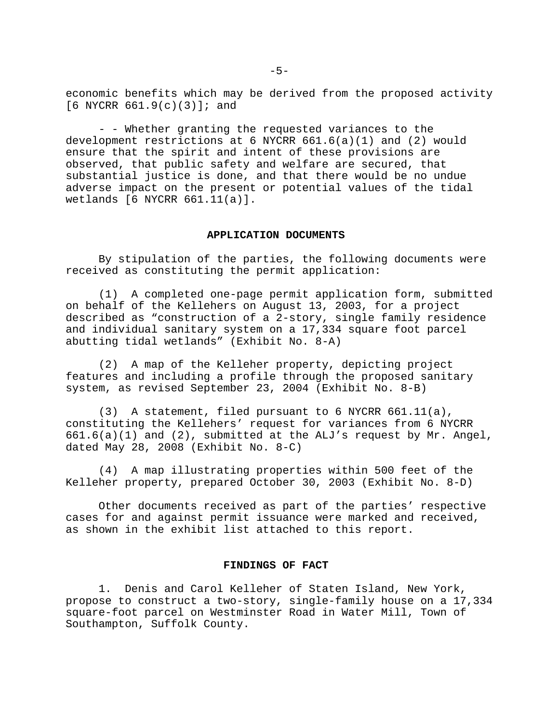economic benefits which may be derived from the proposed activity  $[6$  NYCRR  $661.9(c)(3)]$ ; and

- - Whether granting the requested variances to the development restrictions at 6 NYCRR  $661.6(a)(1)$  and  $(2)$  would ensure that the spirit and intent of these provisions are observed, that public safety and welfare are secured, that substantial justice is done, and that there would be no undue adverse impact on the present or potential values of the tidal wetlands [6 NYCRR 661.11(a)].

## **APPLICATION DOCUMENTS**

By stipulation of the parties, the following documents were received as constituting the permit application:

(1) A completed one-page permit application form, submitted on behalf of the Kellehers on August 13, 2003, for a project described as "construction of a 2-story, single family residence and individual sanitary system on a 17,334 square foot parcel abutting tidal wetlands" (Exhibit No. 8-A)

(2) A map of the Kelleher property, depicting project features and including a profile through the proposed sanitary system, as revised September 23, 2004 (Exhibit No. 8-B)

(3) A statement, filed pursuant to 6 NYCRR 661.11(a), constituting the Kellehers' request for variances from 6 NYCRR 661.6(a)(1) and (2), submitted at the ALJ's request by Mr. Angel, dated May 28, 2008 (Exhibit No. 8-C)

(4) A map illustrating properties within 500 feet of the Kelleher property, prepared October 30, 2003 (Exhibit No. 8-D)

Other documents received as part of the parties' respective cases for and against permit issuance were marked and received, as shown in the exhibit list attached to this report.

#### **FINDINGS OF FACT**

1. Denis and Carol Kelleher of Staten Island, New York, propose to construct a two-story, single-family house on a 17,334 square-foot parcel on Westminster Road in Water Mill, Town of Southampton, Suffolk County.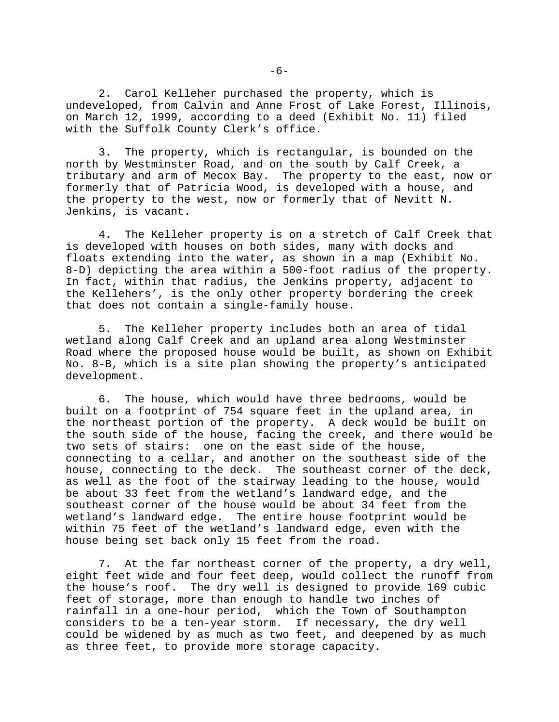2. Carol Kelleher purchased the property, which is undeveloped, from Calvin and Anne Frost of Lake Forest, Illinois, on March 12, 1999, according to a deed (Exhibit No. 11) filed with the Suffolk County Clerk's office.

3. The property, which is rectangular, is bounded on the north by Westminster Road, and on the south by Calf Creek, a tributary and arm of Mecox Bay. The property to the east, now or formerly that of Patricia Wood, is developed with a house, and the property to the west, now or formerly that of Nevitt N. Jenkins, is vacant.

4. The Kelleher property is on a stretch of Calf Creek that is developed with houses on both sides, many with docks and floats extending into the water, as shown in a map (Exhibit No. 8-D) depicting the area within a 500-foot radius of the property. In fact, within that radius, the Jenkins property, adjacent to the Kellehers', is the only other property bordering the creek that does not contain a single-family house.

5. The Kelleher property includes both an area of tidal wetland along Calf Creek and an upland area along Westminster Road where the proposed house would be built, as shown on Exhibit No. 8-B, which is a site plan showing the property's anticipated development.

6. The house, which would have three bedrooms, would be built on a footprint of 754 square feet in the upland area, in the northeast portion of the property. A deck would be built on the south side of the house, facing the creek, and there would be two sets of stairs: one on the east side of the house, connecting to a cellar, and another on the southeast side of the house, connecting to the deck. The southeast corner of the deck, as well as the foot of the stairway leading to the house, would be about 33 feet from the wetland's landward edge, and the southeast corner of the house would be about 34 feet from the wetland's landward edge. The entire house footprint would be within 75 feet of the wetland's landward edge, even with the house being set back only 15 feet from the road.

7. At the far northeast corner of the property, a dry well, eight feet wide and four feet deep, would collect the runoff from the house's roof. The dry well is designed to provide 169 cubic feet of storage, more than enough to handle two inches of rainfall in a one-hour period, which the Town of Southampton considers to be a ten-year storm. If necessary, the dry well could be widened by as much as two feet, and deepened by as much as three feet, to provide more storage capacity.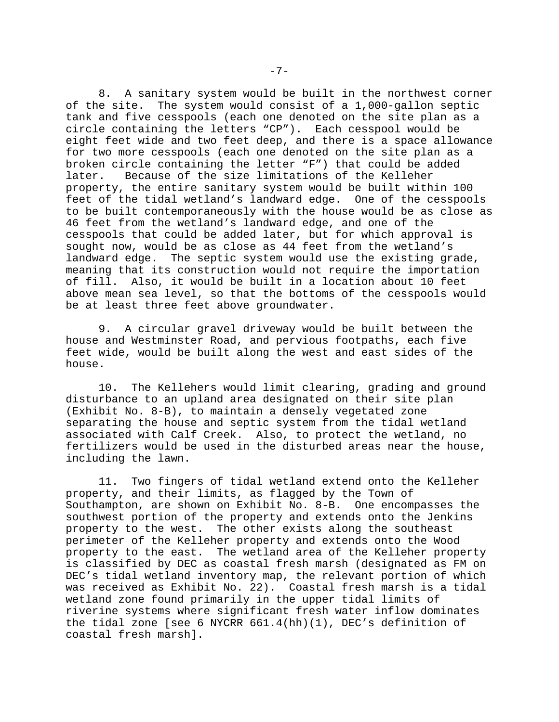8. A sanitary system would be built in the northwest corner of the site. The system would consist of a 1,000-gallon septic tank and five cesspools (each one denoted on the site plan as a circle containing the letters "CP"). Each cesspool would be eight feet wide and two feet deep, and there is a space allowance for two more cesspools (each one denoted on the site plan as a broken circle containing the letter "F") that could be added later. Because of the size limitations of the Kelleher property, the entire sanitary system would be built within 100 feet of the tidal wetland's landward edge. One of the cesspools to be built contemporaneously with the house would be as close as 46 feet from the wetland's landward edge, and one of the cesspools that could be added later, but for which approval is sought now, would be as close as 44 feet from the wetland's landward edge. The septic system would use the existing grade, meaning that its construction would not require the importation of fill. Also, it would be built in a location about 10 feet above mean sea level, so that the bottoms of the cesspools would be at least three feet above groundwater.

9. A circular gravel driveway would be built between the house and Westminster Road, and pervious footpaths, each five feet wide, would be built along the west and east sides of the house.

10. The Kellehers would limit clearing, grading and ground disturbance to an upland area designated on their site plan (Exhibit No. 8-B), to maintain a densely vegetated zone separating the house and septic system from the tidal wetland associated with Calf Creek. Also, to protect the wetland, no fertilizers would be used in the disturbed areas near the house, including the lawn.

11. Two fingers of tidal wetland extend onto the Kelleher property, and their limits, as flagged by the Town of Southampton, are shown on Exhibit No. 8-B. One encompasses the southwest portion of the property and extends onto the Jenkins property to the west. The other exists along the southeast perimeter of the Kelleher property and extends onto the Wood property to the east. The wetland area of the Kelleher property is classified by DEC as coastal fresh marsh (designated as FM on DEC's tidal wetland inventory map, the relevant portion of which was received as Exhibit No. 22). Coastal fresh marsh is a tidal wetland zone found primarily in the upper tidal limits of riverine systems where significant fresh water inflow dominates the tidal zone [see 6 NYCRR 661.4(hh)(1), DEC's definition of coastal fresh marsh].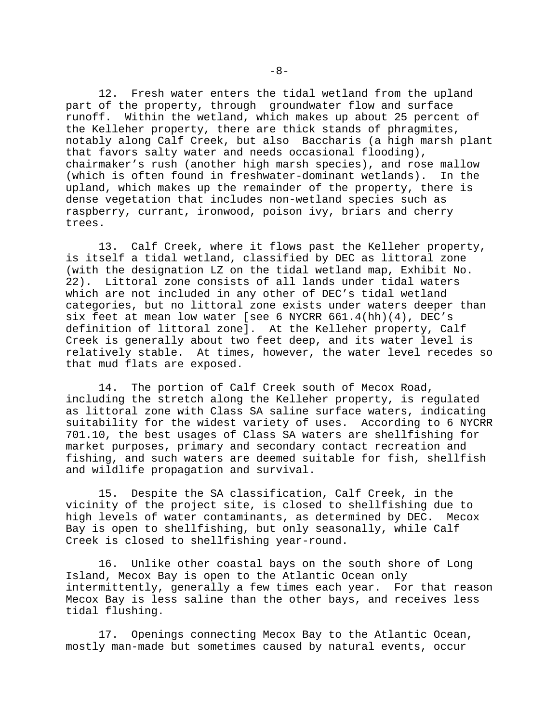12. Fresh water enters the tidal wetland from the upland part of the property, through groundwater flow and surface runoff. Within the wetland, which makes up about 25 percent of the Kelleher property, there are thick stands of phragmites, notably along Calf Creek, but also Baccharis (a high marsh plant that favors salty water and needs occasional flooding), chairmaker's rush (another high marsh species), and rose mallow (which is often found in freshwater-dominant wetlands). In the upland, which makes up the remainder of the property, there is dense vegetation that includes non-wetland species such as raspberry, currant, ironwood, poison ivy, briars and cherry trees.

13. Calf Creek, where it flows past the Kelleher property, is itself a tidal wetland, classified by DEC as littoral zone (with the designation LZ on the tidal wetland map, Exhibit No. 22). Littoral zone consists of all lands under tidal waters which are not included in any other of DEC's tidal wetland categories, but no littoral zone exists under waters deeper than six feet at mean low water [see 6 NYCRR 661.4(hh)(4), DEC's definition of littoral zone]. At the Kelleher property, Calf Creek is generally about two feet deep, and its water level is relatively stable. At times, however, the water level recedes so that mud flats are exposed.

14. The portion of Calf Creek south of Mecox Road, including the stretch along the Kelleher property, is regulated as littoral zone with Class SA saline surface waters, indicating suitability for the widest variety of uses. According to 6 NYCRR 701.10, the best usages of Class SA waters are shellfishing for market purposes, primary and secondary contact recreation and fishing, and such waters are deemed suitable for fish, shellfish and wildlife propagation and survival.

15. Despite the SA classification, Calf Creek, in the vicinity of the project site, is closed to shellfishing due to high levels of water contaminants, as determined by DEC. Mecox Bay is open to shellfishing, but only seasonally, while Calf Creek is closed to shellfishing year-round.

16. Unlike other coastal bays on the south shore of Long Island, Mecox Bay is open to the Atlantic Ocean only intermittently, generally a few times each year. For that reason Mecox Bay is less saline than the other bays, and receives less tidal flushing.

17. Openings connecting Mecox Bay to the Atlantic Ocean, mostly man-made but sometimes caused by natural events, occur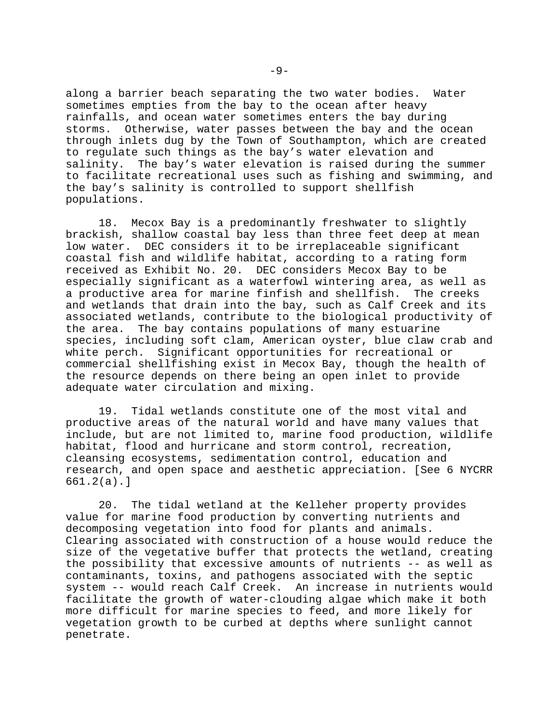along a barrier beach separating the two water bodies. Water sometimes empties from the bay to the ocean after heavy rainfalls, and ocean water sometimes enters the bay during storms. Otherwise, water passes between the bay and the ocean through inlets dug by the Town of Southampton, which are created to regulate such things as the bay's water elevation and salinity. The bay's water elevation is raised during the summer to facilitate recreational uses such as fishing and swimming, and the bay's salinity is controlled to support shellfish populations.

18. Mecox Bay is a predominantly freshwater to slightly brackish, shallow coastal bay less than three feet deep at mean low water. DEC considers it to be irreplaceable significant coastal fish and wildlife habitat, according to a rating form received as Exhibit No. 20. DEC considers Mecox Bay to be especially significant as a waterfowl wintering area, as well as a productive area for marine finfish and shellfish. The creeks and wetlands that drain into the bay, such as Calf Creek and its associated wetlands, contribute to the biological productivity of the area. The bay contains populations of many estuarine species, including soft clam, American oyster, blue claw crab and white perch. Significant opportunities for recreational or commercial shellfishing exist in Mecox Bay, though the health of the resource depends on there being an open inlet to provide adequate water circulation and mixing.

19. Tidal wetlands constitute one of the most vital and productive areas of the natural world and have many values that include, but are not limited to, marine food production, wildlife habitat, flood and hurricane and storm control, recreation, cleansing ecosystems, sedimentation control, education and research, and open space and aesthetic appreciation. [See 6 NYCRR 661.2(a).]

20. The tidal wetland at the Kelleher property provides value for marine food production by converting nutrients and decomposing vegetation into food for plants and animals. Clearing associated with construction of a house would reduce the size of the vegetative buffer that protects the wetland, creating the possibility that excessive amounts of nutrients -- as well as contaminants, toxins, and pathogens associated with the septic system -- would reach Calf Creek. An increase in nutrients would facilitate the growth of water-clouding algae which make it both more difficult for marine species to feed, and more likely for vegetation growth to be curbed at depths where sunlight cannot penetrate.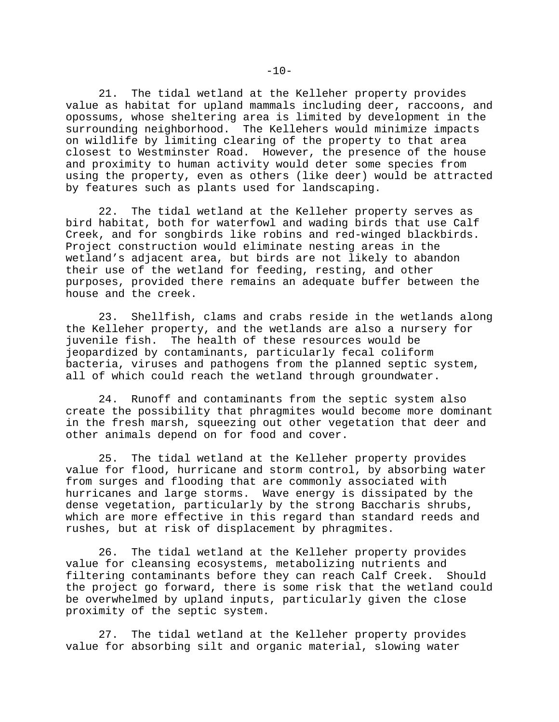21. The tidal wetland at the Kelleher property provides value as habitat for upland mammals including deer, raccoons, and opossums, whose sheltering area is limited by development in the surrounding neighborhood. The Kellehers would minimize impacts on wildlife by limiting clearing of the property to that area closest to Westminster Road. However, the presence of the house and proximity to human activity would deter some species from using the property, even as others (like deer) would be attracted by features such as plants used for landscaping.

22. The tidal wetland at the Kelleher property serves as bird habitat, both for waterfowl and wading birds that use Calf Creek, and for songbirds like robins and red-winged blackbirds. Project construction would eliminate nesting areas in the wetland's adjacent area, but birds are not likely to abandon their use of the wetland for feeding, resting, and other purposes, provided there remains an adequate buffer between the house and the creek.

23. Shellfish, clams and crabs reside in the wetlands along the Kelleher property, and the wetlands are also a nursery for juvenile fish. The health of these resources would be jeopardized by contaminants, particularly fecal coliform bacteria, viruses and pathogens from the planned septic system, all of which could reach the wetland through groundwater.

24. Runoff and contaminants from the septic system also create the possibility that phragmites would become more dominant in the fresh marsh, squeezing out other vegetation that deer and other animals depend on for food and cover.

25. The tidal wetland at the Kelleher property provides value for flood, hurricane and storm control, by absorbing water from surges and flooding that are commonly associated with hurricanes and large storms. Wave energy is dissipated by the dense vegetation, particularly by the strong Baccharis shrubs, which are more effective in this regard than standard reeds and rushes, but at risk of displacement by phragmites.

26. The tidal wetland at the Kelleher property provides value for cleansing ecosystems, metabolizing nutrients and filtering contaminants before they can reach Calf Creek. Should the project go forward, there is some risk that the wetland could be overwhelmed by upland inputs, particularly given the close proximity of the septic system.

27. The tidal wetland at the Kelleher property provides value for absorbing silt and organic material, slowing water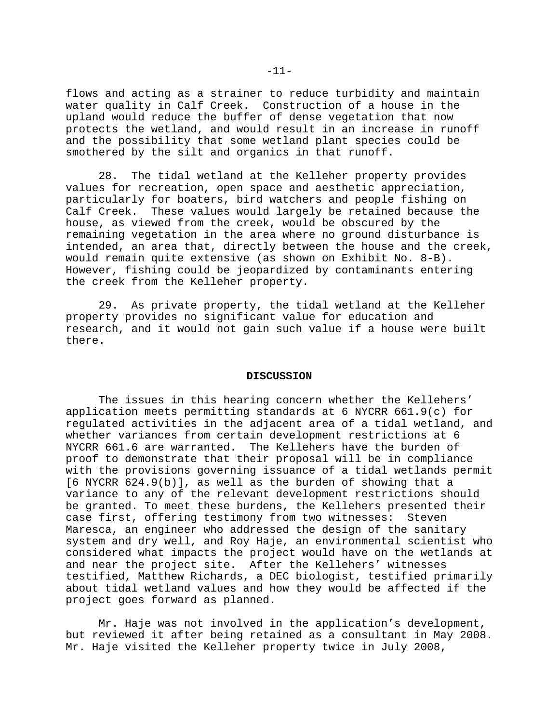flows and acting as a strainer to reduce turbidity and maintain water quality in Calf Creek. Construction of a house in the upland would reduce the buffer of dense vegetation that now protects the wetland, and would result in an increase in runoff and the possibility that some wetland plant species could be smothered by the silt and organics in that runoff.

28. The tidal wetland at the Kelleher property provides values for recreation, open space and aesthetic appreciation, particularly for boaters, bird watchers and people fishing on Calf Creek. These values would largely be retained because the house, as viewed from the creek, would be obscured by the remaining vegetation in the area where no ground disturbance is intended, an area that, directly between the house and the creek, would remain quite extensive (as shown on Exhibit No. 8-B). However, fishing could be jeopardized by contaminants entering the creek from the Kelleher property.

29. As private property, the tidal wetland at the Kelleher property provides no significant value for education and research, and it would not gain such value if a house were built there.

#### **DISCUSSION**

The issues in this hearing concern whether the Kellehers' application meets permitting standards at 6 NYCRR 661.9(c) for regulated activities in the adjacent area of a tidal wetland, and whether variances from certain development restrictions at 6 NYCRR 661.6 are warranted. The Kellehers have the burden of proof to demonstrate that their proposal will be in compliance with the provisions governing issuance of a tidal wetlands permit [6 NYCRR 624.9(b)], as well as the burden of showing that a variance to any of the relevant development restrictions should be granted. To meet these burdens, the Kellehers presented their case first, offering testimony from two witnesses: Steven Maresca, an engineer who addressed the design of the sanitary system and dry well, and Roy Haje, an environmental scientist who considered what impacts the project would have on the wetlands at and near the project site. After the Kellehers' witnesses testified, Matthew Richards, a DEC biologist, testified primarily about tidal wetland values and how they would be affected if the project goes forward as planned.

Mr. Haje was not involved in the application's development, but reviewed it after being retained as a consultant in May 2008. Mr. Haje visited the Kelleher property twice in July 2008,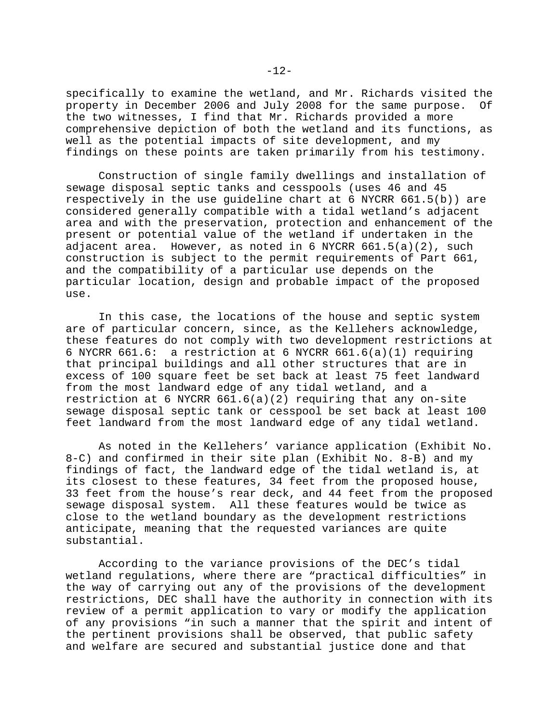specifically to examine the wetland, and Mr. Richards visited the property in December 2006 and July 2008 for the same purpose. Of the two witnesses, I find that Mr. Richards provided a more comprehensive depiction of both the wetland and its functions, as well as the potential impacts of site development, and my findings on these points are taken primarily from his testimony.

Construction of single family dwellings and installation of sewage disposal septic tanks and cesspools (uses 46 and 45 respectively in the use guideline chart at 6 NYCRR 661.5(b)) are considered generally compatible with a tidal wetland's adjacent area and with the preservation, protection and enhancement of the present or potential value of the wetland if undertaken in the adjacent area. However, as noted in 6 NYCRR  $661.5(a)(2)$ , such construction is subject to the permit requirements of Part 661, and the compatibility of a particular use depends on the particular location, design and probable impact of the proposed use.

In this case, the locations of the house and septic system are of particular concern, since, as the Kellehers acknowledge, these features do not comply with two development restrictions at 6 NYCRR 661.6: a restriction at 6 NYCRR 661.6(a)(1) requiring that principal buildings and all other structures that are in excess of 100 square feet be set back at least 75 feet landward from the most landward edge of any tidal wetland, and a restriction at 6 NYCRR 661.6(a)(2) requiring that any on-site sewage disposal septic tank or cesspool be set back at least 100 feet landward from the most landward edge of any tidal wetland.

As noted in the Kellehers' variance application (Exhibit No. 8-C) and confirmed in their site plan (Exhibit No. 8-B) and my findings of fact, the landward edge of the tidal wetland is, at its closest to these features, 34 feet from the proposed house, 33 feet from the house's rear deck, and 44 feet from the proposed sewage disposal system. All these features would be twice as close to the wetland boundary as the development restrictions anticipate, meaning that the requested variances are quite substantial.

According to the variance provisions of the DEC's tidal wetland regulations, where there are "practical difficulties" in the way of carrying out any of the provisions of the development restrictions, DEC shall have the authority in connection with its review of a permit application to vary or modify the application of any provisions "in such a manner that the spirit and intent of the pertinent provisions shall be observed, that public safety and welfare are secured and substantial justice done and that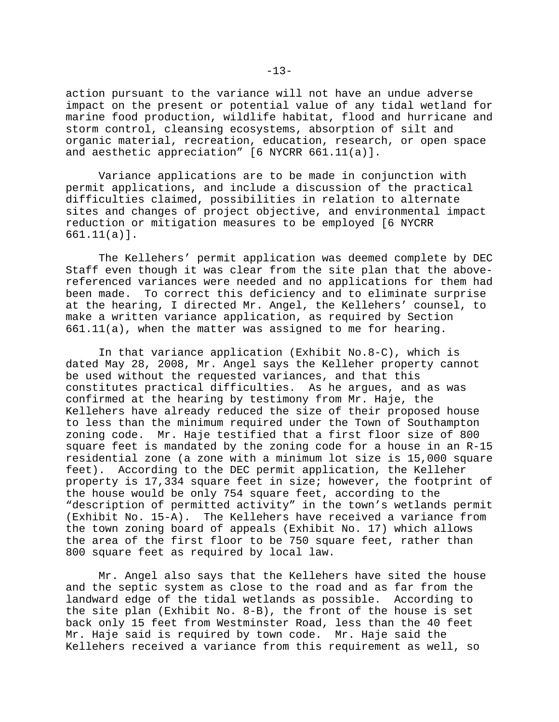action pursuant to the variance will not have an undue adverse impact on the present or potential value of any tidal wetland for marine food production, wildlife habitat, flood and hurricane and storm control, cleansing ecosystems, absorption of silt and organic material, recreation, education, research, or open space and aesthetic appreciation" [6 NYCRR 661.11(a)].

Variance applications are to be made in conjunction with permit applications, and include a discussion of the practical difficulties claimed, possibilities in relation to alternate sites and changes of project objective, and environmental impact reduction or mitigation measures to be employed [6 NYCRR 661.11(a)].

The Kellehers' permit application was deemed complete by DEC Staff even though it was clear from the site plan that the abovereferenced variances were needed and no applications for them had been made. To correct this deficiency and to eliminate surprise at the hearing, I directed Mr. Angel, the Kellehers' counsel, to make a written variance application, as required by Section 661.11(a), when the matter was assigned to me for hearing.

In that variance application (Exhibit No.8-C), which is dated May 28, 2008, Mr. Angel says the Kelleher property cannot be used without the requested variances, and that this constitutes practical difficulties. As he argues, and as was confirmed at the hearing by testimony from Mr. Haje, the Kellehers have already reduced the size of their proposed house to less than the minimum required under the Town of Southampton zoning code. Mr. Haje testified that a first floor size of 800 square feet is mandated by the zoning code for a house in an R-15 residential zone (a zone with a minimum lot size is 15,000 square feet). According to the DEC permit application, the Kelleher property is 17,334 square feet in size; however, the footprint of the house would be only 754 square feet, according to the "description of permitted activity" in the town's wetlands permit (Exhibit No. 15-A). The Kellehers have received a variance from the town zoning board of appeals (Exhibit No. 17) which allows the area of the first floor to be 750 square feet, rather than 800 square feet as required by local law.

Mr. Angel also says that the Kellehers have sited the house and the septic system as close to the road and as far from the landward edge of the tidal wetlands as possible. According to the site plan (Exhibit No. 8-B), the front of the house is set back only 15 feet from Westminster Road, less than the 40 feet Mr. Haje said is required by town code. Mr. Haje said the Kellehers received a variance from this requirement as well, so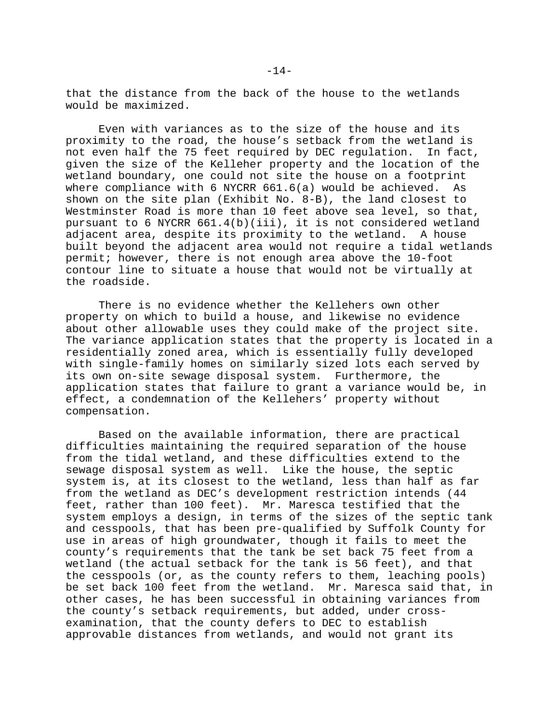that the distance from the back of the house to the wetlands would be maximized.

Even with variances as to the size of the house and its proximity to the road, the house's setback from the wetland is not even half the 75 feet required by DEC regulation. In fact, given the size of the Kelleher property and the location of the wetland boundary, one could not site the house on a footprint where compliance with 6 NYCRR 661.6(a) would be achieved. As shown on the site plan (Exhibit No. 8-B), the land closest to Westminster Road is more than 10 feet above sea level, so that, pursuant to 6 NYCRR 661.4(b)(iii), it is not considered wetland adjacent area, despite its proximity to the wetland. A house built beyond the adjacent area would not require a tidal wetlands permit; however, there is not enough area above the 10-foot contour line to situate a house that would not be virtually at the roadside.

There is no evidence whether the Kellehers own other property on which to build a house, and likewise no evidence about other allowable uses they could make of the project site. The variance application states that the property is located in a residentially zoned area, which is essentially fully developed with single-family homes on similarly sized lots each served by its own on-site sewage disposal system. Furthermore, the application states that failure to grant a variance would be, in effect, a condemnation of the Kellehers' property without compensation.

Based on the available information, there are practical difficulties maintaining the required separation of the house from the tidal wetland, and these difficulties extend to the sewage disposal system as well. Like the house, the septic system is, at its closest to the wetland, less than half as far from the wetland as DEC's development restriction intends (44 feet, rather than 100 feet). Mr. Maresca testified that the system employs a design, in terms of the sizes of the septic tank and cesspools, that has been pre-qualified by Suffolk County for use in areas of high groundwater, though it fails to meet the county's requirements that the tank be set back 75 feet from a wetland (the actual setback for the tank is 56 feet), and that the cesspools (or, as the county refers to them, leaching pools) be set back 100 feet from the wetland. Mr. Maresca said that, in other cases, he has been successful in obtaining variances from the county's setback requirements, but added, under crossexamination, that the county defers to DEC to establish approvable distances from wetlands, and would not grant its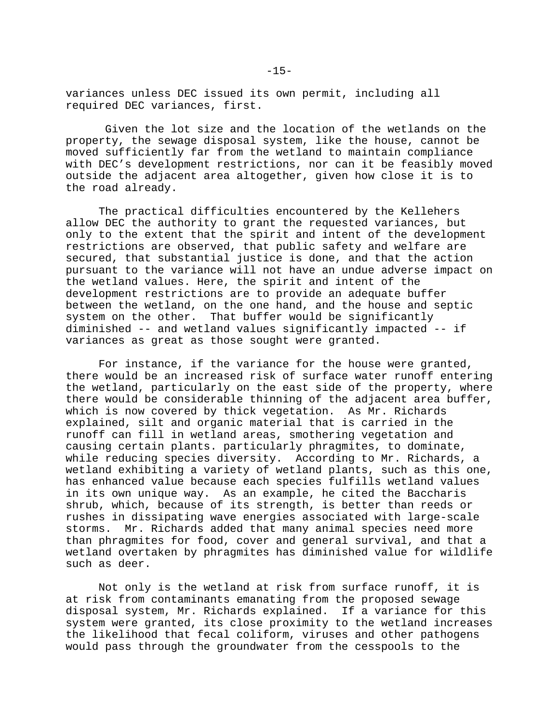variances unless DEC issued its own permit, including all required DEC variances, first.

 Given the lot size and the location of the wetlands on the property, the sewage disposal system, like the house, cannot be moved sufficiently far from the wetland to maintain compliance with DEC's development restrictions, nor can it be feasibly moved outside the adjacent area altogether, given how close it is to the road already.

The practical difficulties encountered by the Kellehers allow DEC the authority to grant the requested variances, but only to the extent that the spirit and intent of the development restrictions are observed, that public safety and welfare are secured, that substantial justice is done, and that the action pursuant to the variance will not have an undue adverse impact on the wetland values. Here, the spirit and intent of the development restrictions are to provide an adequate buffer between the wetland, on the one hand, and the house and septic system on the other. That buffer would be significantly diminished -- and wetland values significantly impacted -- if variances as great as those sought were granted.

For instance, if the variance for the house were granted, there would be an increased risk of surface water runoff entering the wetland, particularly on the east side of the property, where there would be considerable thinning of the adjacent area buffer, which is now covered by thick vegetation. As Mr. Richards explained, silt and organic material that is carried in the runoff can fill in wetland areas, smothering vegetation and causing certain plants. particularly phragmites, to dominate, while reducing species diversity. According to Mr. Richards, a wetland exhibiting a variety of wetland plants, such as this one, has enhanced value because each species fulfills wetland values in its own unique way. As an example, he cited the Baccharis shrub, which, because of its strength, is better than reeds or rushes in dissipating wave energies associated with large-scale storms. Mr. Richards added that many animal species need more than phragmites for food, cover and general survival, and that a wetland overtaken by phragmites has diminished value for wildlife such as deer.

Not only is the wetland at risk from surface runoff, it is at risk from contaminants emanating from the proposed sewage disposal system, Mr. Richards explained. If a variance for this system were granted, its close proximity to the wetland increases the likelihood that fecal coliform, viruses and other pathogens would pass through the groundwater from the cesspools to the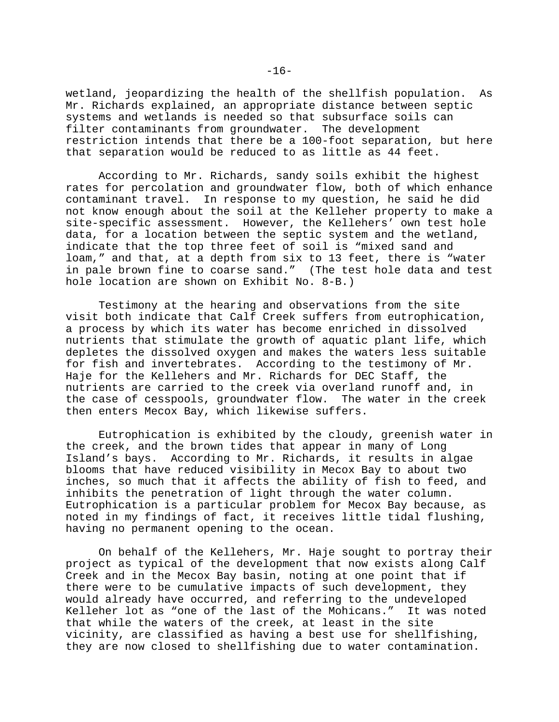wetland, jeopardizing the health of the shellfish population. As Mr. Richards explained, an appropriate distance between septic systems and wetlands is needed so that subsurface soils can filter contaminants from groundwater. The development restriction intends that there be a 100-foot separation, but here that separation would be reduced to as little as 44 feet.

According to Mr. Richards, sandy soils exhibit the highest rates for percolation and groundwater flow, both of which enhance contaminant travel. In response to my question, he said he did not know enough about the soil at the Kelleher property to make a site-specific assessment. However, the Kellehers' own test hole data, for a location between the septic system and the wetland, indicate that the top three feet of soil is "mixed sand and loam," and that, at a depth from six to 13 feet, there is "water in pale brown fine to coarse sand." (The test hole data and test hole location are shown on Exhibit No. 8-B.)

Testimony at the hearing and observations from the site visit both indicate that Calf Creek suffers from eutrophication, a process by which its water has become enriched in dissolved nutrients that stimulate the growth of aquatic plant life, which depletes the dissolved oxygen and makes the waters less suitable for fish and invertebrates. According to the testimony of Mr. Haje for the Kellehers and Mr. Richards for DEC Staff, the nutrients are carried to the creek via overland runoff and, in the case of cesspools, groundwater flow. The water in the creek then enters Mecox Bay, which likewise suffers.

Eutrophication is exhibited by the cloudy, greenish water in the creek, and the brown tides that appear in many of Long Island's bays. According to Mr. Richards, it results in algae blooms that have reduced visibility in Mecox Bay to about two inches, so much that it affects the ability of fish to feed, and inhibits the penetration of light through the water column. Eutrophication is a particular problem for Mecox Bay because, as noted in my findings of fact, it receives little tidal flushing, having no permanent opening to the ocean.

On behalf of the Kellehers, Mr. Haje sought to portray their project as typical of the development that now exists along Calf Creek and in the Mecox Bay basin, noting at one point that if there were to be cumulative impacts of such development, they would already have occurred, and referring to the undeveloped Kelleher lot as "one of the last of the Mohicans." It was noted that while the waters of the creek, at least in the site vicinity, are classified as having a best use for shellfishing, they are now closed to shellfishing due to water contamination.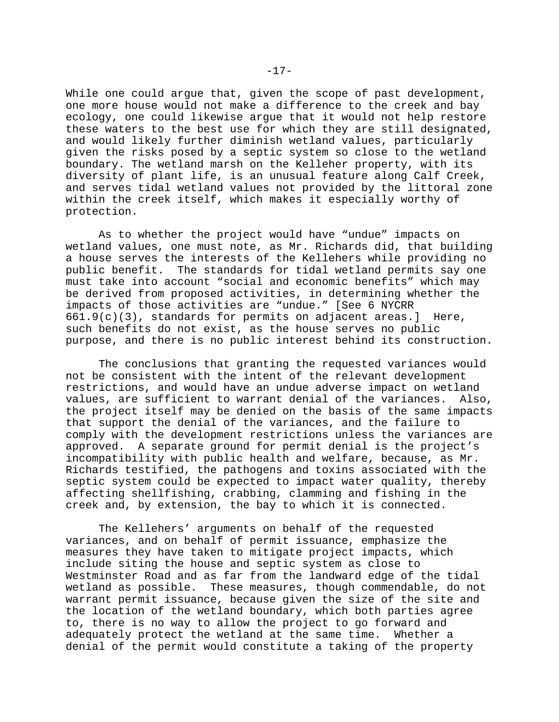While one could argue that, given the scope of past development, one more house would not make a difference to the creek and bay ecology, one could likewise argue that it would not help restore these waters to the best use for which they are still designated, and would likely further diminish wetland values, particularly given the risks posed by a septic system so close to the wetland boundary. The wetland marsh on the Kelleher property, with its diversity of plant life, is an unusual feature along Calf Creek, and serves tidal wetland values not provided by the littoral zone within the creek itself, which makes it especially worthy of protection.

As to whether the project would have "undue" impacts on wetland values, one must note, as Mr. Richards did, that building a house serves the interests of the Kellehers while providing no public benefit. The standards for tidal wetland permits say one must take into account "social and economic benefits" which may be derived from proposed activities, in determining whether the impacts of those activities are "undue." [See 6 NYCRR 661.9(c)(3), standards for permits on adjacent areas.] Here, such benefits do not exist, as the house serves no public purpose, and there is no public interest behind its construction.

The conclusions that granting the requested variances would not be consistent with the intent of the relevant development restrictions, and would have an undue adverse impact on wetland values, are sufficient to warrant denial of the variances. Also, the project itself may be denied on the basis of the same impacts that support the denial of the variances, and the failure to comply with the development restrictions unless the variances are approved. A separate ground for permit denial is the project's incompatibility with public health and welfare, because, as Mr. Richards testified, the pathogens and toxins associated with the septic system could be expected to impact water quality, thereby affecting shellfishing, crabbing, clamming and fishing in the creek and, by extension, the bay to which it is connected.

The Kellehers' arguments on behalf of the requested variances, and on behalf of permit issuance, emphasize the measures they have taken to mitigate project impacts, which include siting the house and septic system as close to Westminster Road and as far from the landward edge of the tidal wetland as possible. These measures, though commendable, do not warrant permit issuance, because given the size of the site and the location of the wetland boundary, which both parties agree to, there is no way to allow the project to go forward and adequately protect the wetland at the same time. Whether a denial of the permit would constitute a taking of the property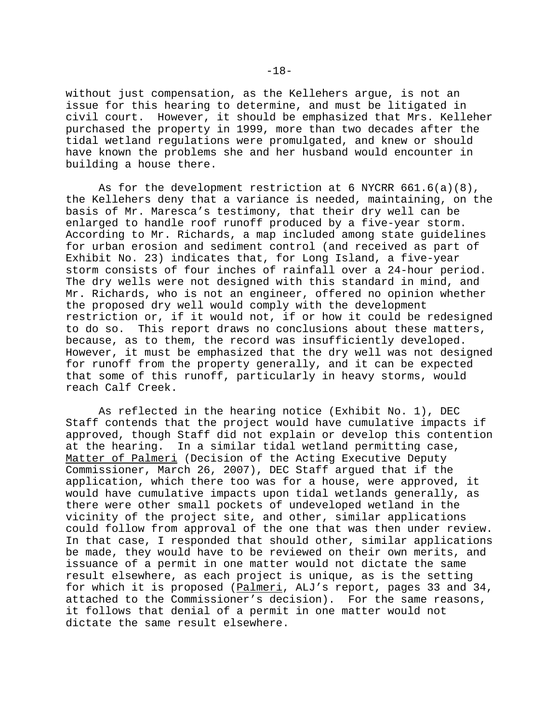without just compensation, as the Kellehers argue, is not an issue for this hearing to determine, and must be litigated in civil court. However, it should be emphasized that Mrs. Kelleher purchased the property in 1999, more than two decades after the tidal wetland regulations were promulgated, and knew or should have known the problems she and her husband would encounter in building a house there.

As for the development restriction at 6 NYCRR 661.6(a)(8), the Kellehers deny that a variance is needed, maintaining, on the basis of Mr. Maresca's testimony, that their dry well can be enlarged to handle roof runoff produced by a five-year storm. According to Mr. Richards, a map included among state guidelines for urban erosion and sediment control (and received as part of Exhibit No. 23) indicates that, for Long Island, a five-year storm consists of four inches of rainfall over a 24-hour period. The dry wells were not designed with this standard in mind, and Mr. Richards, who is not an engineer, offered no opinion whether the proposed dry well would comply with the development restriction or, if it would not, if or how it could be redesigned to do so. This report draws no conclusions about these matters, because, as to them, the record was insufficiently developed. However, it must be emphasized that the dry well was not designed for runoff from the property generally, and it can be expected that some of this runoff, particularly in heavy storms, would reach Calf Creek.

As reflected in the hearing notice (Exhibit No. 1), DEC Staff contends that the project would have cumulative impacts if approved, though Staff did not explain or develop this contention at the hearing. In a similar tidal wetland permitting case, Matter of Palmeri (Decision of the Acting Executive Deputy Commissioner, March 26, 2007), DEC Staff argued that if the application, which there too was for a house, were approved, it would have cumulative impacts upon tidal wetlands generally, as there were other small pockets of undeveloped wetland in the vicinity of the project site, and other, similar applications could follow from approval of the one that was then under review. In that case, I responded that should other, similar applications be made, they would have to be reviewed on their own merits, and issuance of a permit in one matter would not dictate the same result elsewhere, as each project is unique, as is the setting for which it is proposed (Palmeri, ALJ's report, pages 33 and 34, attached to the Commissioner's decision). For the same reasons, it follows that denial of a permit in one matter would not dictate the same result elsewhere.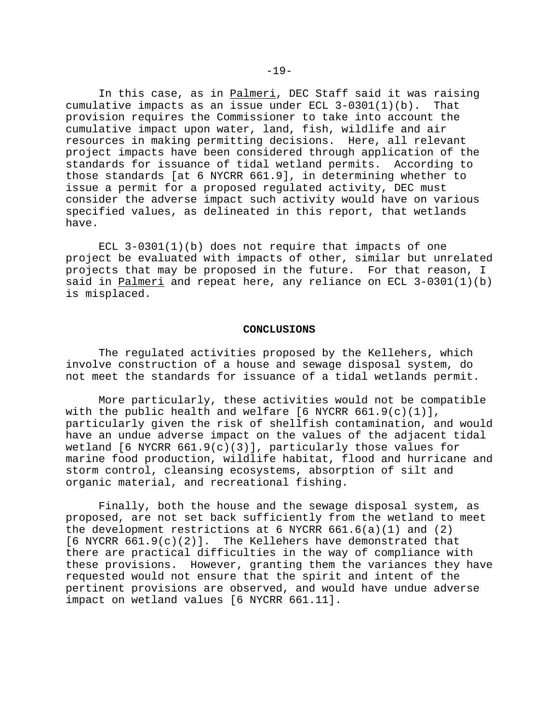In this case, as in Palmeri, DEC Staff said it was raising cumulative impacts as an issue under ECL 3-0301(1)(b). That provision requires the Commissioner to take into account the cumulative impact upon water, land, fish, wildlife and air resources in making permitting decisions. Here, all relevant project impacts have been considered through application of the standards for issuance of tidal wetland permits. According to those standards [at 6 NYCRR 661.9], in determining whether to issue a permit for a proposed regulated activity, DEC must consider the adverse impact such activity would have on various specified values, as delineated in this report, that wetlands have.

ECL  $3-0301(1)(b)$  does not require that impacts of one project be evaluated with impacts of other, similar but unrelated projects that may be proposed in the future. For that reason, I said in Palmeri and repeat here, any reliance on ECL  $3-0301(1)(b)$ is misplaced.

#### **CONCLUSIONS**

The regulated activities proposed by the Kellehers, which involve construction of a house and sewage disposal system, do not meet the standards for issuance of a tidal wetlands permit.

More particularly, these activities would not be compatible with the public health and welfare  $[6 \text{ NYCRR } 661.9(c)(1)],$ particularly given the risk of shellfish contamination, and would have an undue adverse impact on the values of the adjacent tidal wetland  $[6 \text{ NYCRR } 661.9(c)(3)]$ , particularly those values for marine food production, wildlife habitat, flood and hurricane and storm control, cleansing ecosystems, absorption of silt and organic material, and recreational fishing.

Finally, both the house and the sewage disposal system, as proposed, are not set back sufficiently from the wetland to meet the development restrictions at 6 NYCRR  $661.6(a)(1)$  and  $(2)$  $[6$  NYCRR  $661.9(c)(2)]$ . The Kellehers have demonstrated that there are practical difficulties in the way of compliance with these provisions. However, granting them the variances they have requested would not ensure that the spirit and intent of the pertinent provisions are observed, and would have undue adverse impact on wetland values [6 NYCRR 661.11].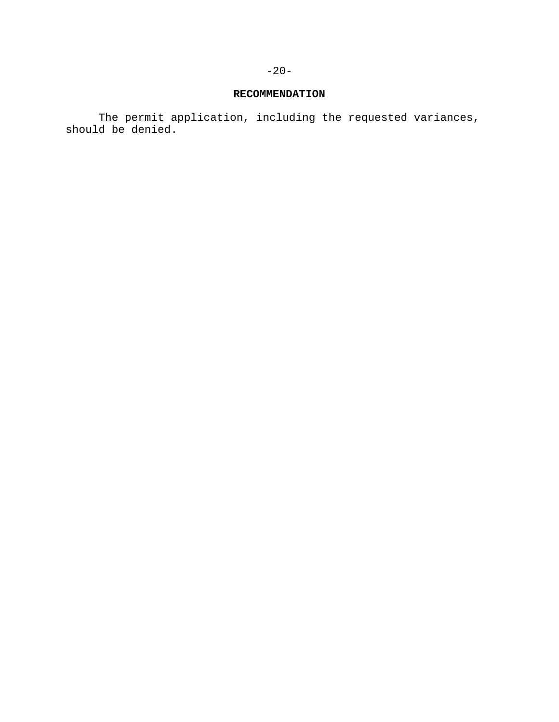# **RECOMMENDATION**

The permit application, including the requested variances, should be denied.